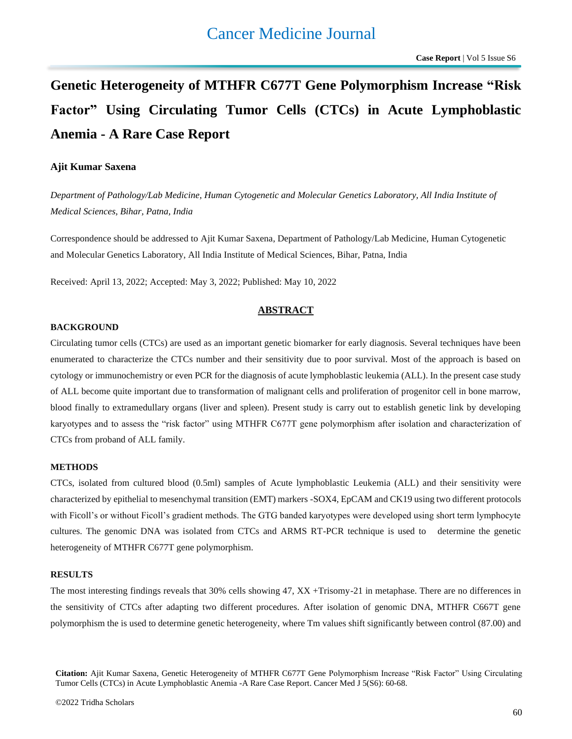# **Genetic Heterogeneity of MTHFR C677T Gene Polymorphism Increase "Risk Factor" Using Circulating Tumor Cells (CTCs) in Acute Lymphoblastic Anemia - A Rare Case Report**

# **Ajit Kumar Saxena**

*Department of Pathology/Lab Medicine, Human Cytogenetic and Molecular Genetics Laboratory, All India Institute of Medical Sciences, Bihar, Patna, India*

Correspondence should be addressed to Ajit Kumar Saxena, Department of Pathology/Lab Medicine, Human Cytogenetic and Molecular Genetics Laboratory, All India Institute of Medical Sciences, Bihar, Patna, India

Received: April 13, 2022; Accepted: May 3, 2022; Published: May 10, 2022

# **ABSTRACT**

#### **BACKGROUND**

Circulating tumor cells (CTCs) are used as an important genetic biomarker for early diagnosis. Several techniques have been enumerated to characterize the CTCs number and their sensitivity due to poor survival. Most of the approach is based on cytology or immunochemistry or even PCR for the diagnosis of acute lymphoblastic leukemia (ALL). In the present case study of ALL become quite important due to transformation of malignant cells and proliferation of progenitor cell in bone marrow, blood finally to extramedullary organs (liver and spleen). Present study is carry out to establish genetic link by developing karyotypes and to assess the "risk factor" using MTHFR C677T gene polymorphism after isolation and characterization of CTCs from proband of ALL family.

# **METHODS**

CTCs, isolated from cultured blood (0.5ml) samples of Acute lymphoblastic Leukemia (ALL) and their sensitivity were characterized by epithelial to mesenchymal transition (EMT) markers -SOX4, EpCAM and CK19 using two different protocols with Ficoll's or without Ficoll's gradient methods. The GTG banded karyotypes were developed using short term lymphocyte cultures. The genomic DNA was isolated from CTCs and ARMS RT-PCR technique is used to determine the genetic heterogeneity of MTHFR C677T gene polymorphism.

# **RESULTS**

The most interesting findings reveals that 30% cells showing 47, XX +Trisomy-21 in metaphase. There are no differences in the sensitivity of CTCs after adapting two different procedures. After isolation of genomic DNA, MTHFR C667T gene polymorphism the is used to determine genetic heterogeneity, where Tm values shift significantly between control (87.00) and

**Citation:** Ajit Kumar Saxena, Genetic Heterogeneity of MTHFR C677T Gene Polymorphism Increase "Risk Factor" Using Circulating Tumor Cells (CTCs) in Acute Lymphoblastic Anemia -A Rare Case Report. Cancer Med J 5(S6): 60-68.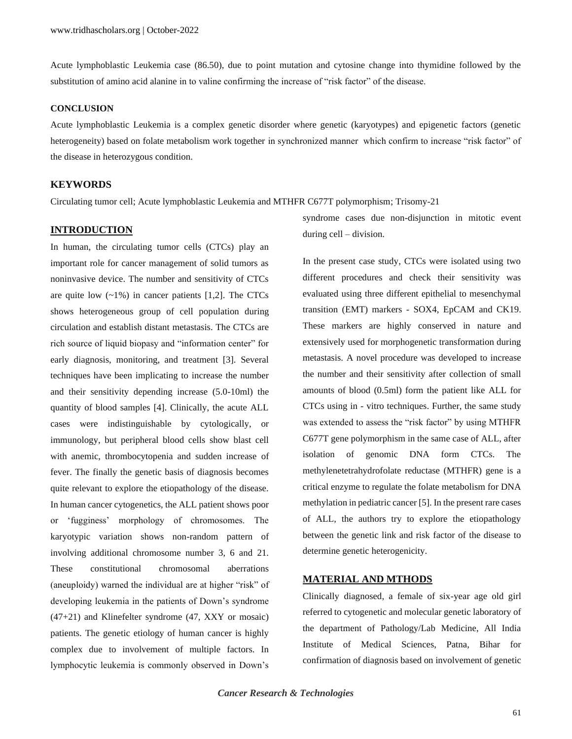Acute lymphoblastic Leukemia case (86.50), due to point mutation and cytosine change into thymidine followed by the substitution of amino acid alanine in to valine confirming the increase of "risk factor" of the disease.

# **CONCLUSION**

Acute lymphoblastic Leukemia is a complex genetic disorder where genetic (karyotypes) and epigenetic factors (genetic heterogeneity) based on folate metabolism work together in synchronized manner which confirm to increase "risk factor" of the disease in heterozygous condition.

## **KEYWORDS**

Circulating tumor cell; Acute lymphoblastic Leukemia and MTHFR C677T polymorphism; Trisomy-21

# **INTRODUCTION**

In human, the circulating tumor cells (CTCs) play an important role for cancer management of solid tumors as noninvasive device. The number and sensitivity of CTCs are quite low  $(-1\%)$  in cancer patients [1,2]. The CTCs shows heterogeneous group of cell population during circulation and establish distant metastasis. The CTCs are rich source of liquid biopasy and "information center" for early diagnosis, monitoring, and treatment [3]. Several techniques have been implicating to increase the number and their sensitivity depending increase (5.0-10ml) the quantity of blood samples [4]. Clinically, the acute ALL cases were indistinguishable by cytologically, or immunology, but peripheral blood cells show blast cell with anemic, thrombocytopenia and sudden increase of fever. The finally the genetic basis of diagnosis becomes quite relevant to explore the etiopathology of the disease. In human cancer cytogenetics, the ALL patient shows poor or 'fugginess' morphology of chromosomes. The karyotypic variation shows non-random pattern of involving additional chromosome number 3, 6 and 21. These constitutional chromosomal aberrations (aneuploidy) warned the individual are at higher "risk" of developing leukemia in the patients of Down's syndrome (47+21) and Klinefelter syndrome (47, XXY or mosaic) patients. The genetic etiology of human cancer is highly complex due to involvement of multiple factors. In lymphocytic leukemia is commonly observed in Down's

syndrome cases due non-disjunction in mitotic event during cell – division.

In the present case study, CTCs were isolated using two different procedures and check their sensitivity was evaluated using three different epithelial to mesenchymal transition (EMT) markers - SOX4, EpCAM and CK19. These markers are highly conserved in nature and extensively used for morphogenetic transformation during metastasis. A novel procedure was developed to increase the number and their sensitivity after collection of small amounts of blood (0.5ml) form the patient like ALL for CTCs using in - vitro techniques. Further, the same study was extended to assess the "risk factor" by using MTHFR C677T gene polymorphism in the same case of ALL, after isolation of genomic DNA form CTCs. The methylenetetrahydrofolate reductase (MTHFR) gene is a critical enzyme to regulate the folate metabolism for DNA methylation in pediatric cancer [5]. In the present rare cases of ALL, the authors try to explore the etiopathology between the genetic link and risk factor of the disease to determine genetic heterogenicity.

# **MATERIAL AND MTHODS**

Clinically diagnosed, a female of six-year age old girl referred to cytogenetic and molecular genetic laboratory of the department of Pathology/Lab Medicine, All India Institute of Medical Sciences, Patna, Bihar for confirmation of diagnosis based on involvement of genetic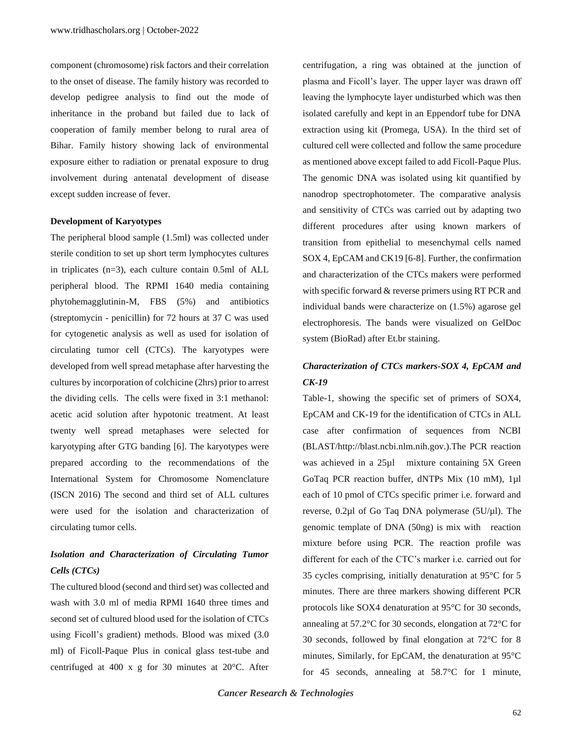component (chromosome) risk factors and their correlation to the onset of disease. The family history was recorded to develop pedigree analysis to find out the mode of inheritance in the proband but failed due to lack of cooperation of family member belong to rural area of Bihar. Family history showing lack of environmental exposure either to radiation or prenatal exposure to drug involvement during antenatal development of disease except sudden increase of fever.

#### **Development of Karyotypes**

The peripheral blood sample (1.5ml) was collected under sterile condition to set up short term lymphocytes cultures in triplicates (n=3), each culture contain 0.5ml of ALL peripheral blood. The RPMI 1640 media containing phytohemagglutinin-M, FBS (5%) and antibiotics (streptomycin - penicillin) for 72 hours at 37 C was used for cytogenetic analysis as well as used for isolation of circulating tumor cell (CTCs). The karyotypes were developed from well spread metaphase after harvesting the cultures by incorporation of colchicine (2hrs) prior to arrest the dividing cells. The cells were fixed in 3:1 methanol: acetic acid solution after hypotonic treatment. At least twenty well spread metaphases were selected for karyotyping after GTG banding [6]. The karyotypes were prepared according to the recommendations of the International System for Chromosome Nomenclature (ISCN 2016) The second and third set of ALL cultures were used for the isolation and characterization of circulating tumor cells.

# *Isolation and Characterization of Circulating Tumor Cells (CTCs)*

The cultured blood (second and third set) was collected and wash with 3.0 ml of media RPMI 1640 three times and second set of cultured blood used for the isolation of CTCs using Ficoll's gradient) methods. Blood was mixed (3.0 ml) of Ficoll-Paque Plus in conical glass test-tube and centrifuged at 400 x g for 30 minutes at 20°C. After centrifugation, a ring was obtained at the junction of plasma and Ficoll's layer. The upper layer was drawn off leaving the lymphocyte layer undisturbed which was then isolated carefully and kept in an Eppendorf tube for DNA extraction using kit (Promega, USA). In the third set of cultured cell were collected and follow the same procedure as mentioned above except failed to add Ficoll-Paque Plus. The genomic DNA was isolated using kit quantified by nanodrop spectrophotometer. The comparative analysis and sensitivity of CTCs was carried out by adapting two different procedures after using known markers of transition from epithelial to mesenchymal cells named SOX 4, EpCAM and CK19 [6-8]. Further, the confirmation and characterization of the CTCs makers were performed with specific forward & reverse primers using RT PCR and individual bands were characterize on (1.5%) agarose gel electrophoresis. The bands were visualized on GelDoc system (BioRad) after Et.br staining.

# *Characterization of CTCs markers-SOX 4, EpCAM and CK-19*

Table-1, showing the specific set of primers of SOX4, EpCAM and CK-19 for the identification of CTCs in ALL case after confirmation of sequences from NCBI (BLAST/http://blast.ncbi.nlm.nih.gov.).The PCR reaction was achieved in a 25µl mixture containing 5X Green GoTaq PCR reaction buffer, dNTPs Mix (10 mM), 1µl each of 10 pmol of CTCs specific primer i.e. forward and reverse, 0.2µl of Go Taq DNA polymerase (5U/µl). The genomic template of DNA (50ng) is mix with reaction mixture before using PCR. The reaction profile was different for each of the CTC's marker i.e. carried out for 35 cycles comprising, initially denaturation at 95°C for 5 minutes. There are three markers showing different PCR protocols like SOX4 denaturation at 95°C for 30 seconds, annealing at 57.2°C for 30 seconds, elongation at 72°C for 30 seconds, followed by final elongation at 72°C for 8 minutes, Similarly, for EpCAM, the denaturation at 95°C for 45 seconds, annealing at 58.7°C for 1 minute,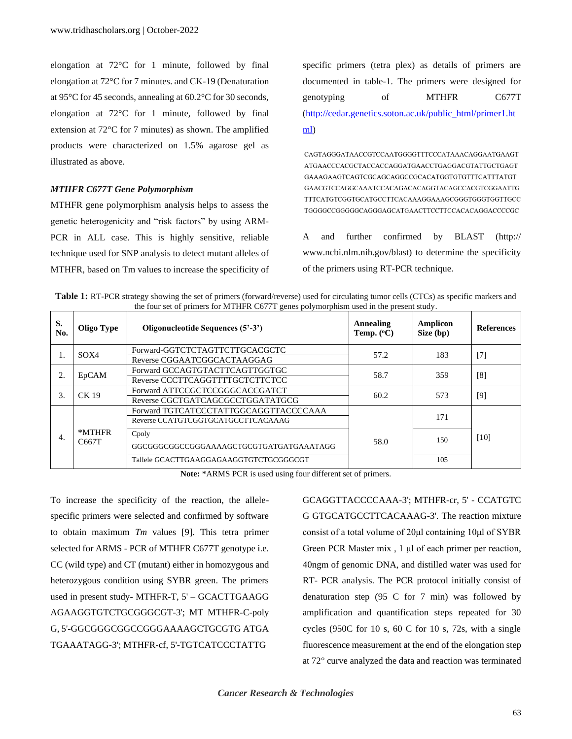elongation at 72°C for 1 minute, followed by final elongation at 72°C for 7 minutes. and CK-19 (Denaturation at 95°C for 45 seconds, annealing at 60.2°C for 30 seconds, elongation at 72°C for 1 minute, followed by final extension at 72°C for 7 minutes) as shown. The amplified products were characterized on 1.5% agarose gel as illustrated as above.

#### *MTHFR C677T Gene Polymorphism*

MTHFR gene polymorphism analysis helps to assess the genetic heterogenicity and "risk factors" by using ARM-PCR in ALL case. This is highly sensitive, reliable technique used for SNP analysis to detect mutant alleles of MTHFR, based on Tm values to increase the specificity of specific primers (tetra plex) as details of primers are documented in table-1. The primers were designed for genotyping of MTHFR C677T [\(http://cedar.genetics.soton.ac.uk/public\\_html/primer1.ht](http://cedar.genetics.soton.ac.uk/public_html/primer1.html) [ml\)](http://cedar.genetics.soton.ac.uk/public_html/primer1.html)

CAGTAGGGATAACCGTCCAATGGGGTTTCCCATAAACAGGAATGAAGT ATGAACCCACGCTACCACCAGGATGAACCTGAGGACGTATTGCTGAGT GAAAGAAGTCAGTCGCAGCAGGCCGCACATGGTGTGTTTCATTTATGT GAACGTCCAGGCAAATCCACAGACACAGGTACAGCCACGTCGGAATTG  ${\bf TGGGGCCGGGGG CAGGGAG CATGAACTT CCTTCCACAGGACCCCCGC}$ 

A and further confirmed by BLAST (http:// www.ncbi.nlm.nih.gov/blast) to determine the specificity of the primers using RT-PCR technique.

| Table 1: RT-PCR strategy showing the set of primers (forward/reverse) used for circulating tumor cells (CTCs) as specific markers and |
|---------------------------------------------------------------------------------------------------------------------------------------|
| the four set of primers for MTHFR C677T genes polymorphism used in the present study.                                                 |

| S.<br>No. | Oligo Type      | Oligonucleotide Sequences (5'-3')       | Annealing<br>Temp. $(^{\circ}C)$ | Amplicon<br>Size (bp) | <b>References</b> |
|-----------|-----------------|-----------------------------------------|----------------------------------|-----------------------|-------------------|
|           | SOX4            | Forward-GGTCTCTAGTTCTTGCACGCTC          | 57.2                             | 183                   | $[7]$             |
|           |                 | Reverse CGGAATCGGCACTAAGGAG             |                                  |                       |                   |
| 2.        | EpCAM           | Forward GCCAGTGTACTTCAGTTGGTGC          | 58.7                             | 359                   | [8]               |
|           |                 | Reverse CCCTTCAGGTTTTGCTCTTCTCC         |                                  |                       |                   |
| 3.        | $CK$ 19         | Forward ATTCCGCTCCGGGCACCGATCT          | 60.2                             | 573                   | [9]               |
|           |                 | Reverse CGCTGATCAGCGCCTGGATATGCG        |                                  |                       |                   |
| 4.        | *MTHFR<br>C667T | Forward TGTCATCCCTATTGGCAGGTTACCCCAAA   |                                  | 171                   | [10]              |
|           |                 | Reverse CCATGTCGGTGCATGCCTTCACAAAG      |                                  |                       |                   |
|           |                 | Cpoly                                   | 58.0                             | 150                   |                   |
|           |                 | GGCGGGCGGCCGGGAAAAGCTGCGTGATGATGAAATAGG |                                  |                       |                   |
|           |                 | Tallele GCACTTGAAGGAGAAGGTGTCTGCGGGCGT  |                                  | 105                   |                   |

**Note:** \*ARMS PCR is used using four different set of primers.

To increase the specificity of the reaction, the allelespecific primers were selected and confirmed by software to obtain maximum *Tm* values [9]. This tetra primer selected for ARMS - PCR of MTHFR C677T genotype i.e. CC (wild type) and CT (mutant) either in homozygous and heterozygous condition using SYBR green. The primers used in present study- MTHFR-T, 5' – GCACTTGAAGG AGAAGGTGTCTGCGGGCGT-3'; MT MTHFR-C-poly G, 5'-GGCGGGCGGCCGGGAAAAGCTGCGTG ATGA TGAAATAGG-3'; MTHFR-cf, 5'-TGTCATCCCTATTG

GCAGGTTACCCCAAA-3'; MTHFR-cr, 5' - CCATGTC G GTGCATGCCTTCACAAAG-3'. The reaction mixture consist of a total volume of 20μl containing 10μl of SYBR Green PCR Master mix , 1 μl of each primer per reaction, 40ngm of genomic DNA, and distilled water was used for RT- PCR analysis. The PCR protocol initially consist of denaturation step (95 C for 7 min) was followed by amplification and quantification steps repeated for 30 cycles (950C for 10 s, 60 C for 10 s, 72s, with a single fluorescence measurement at the end of the elongation step at 72° curve analyzed the data and reaction was terminated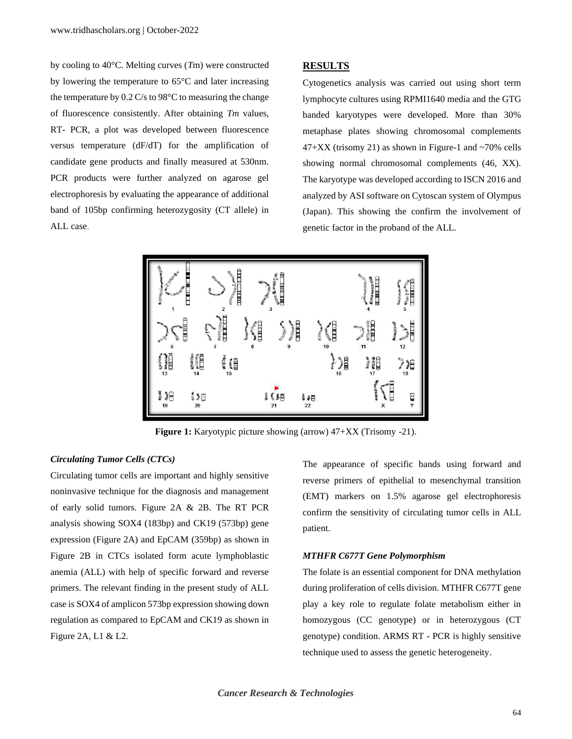by cooling to 40°C. Melting curves (*T*m) were constructed by lowering the temperature to 65°C and later increasing the temperature by 0.2 C/s to 98°C to measuring the change of fluorescence consistently. After obtaining *Tm* values, RT- PCR, a plot was developed between fluorescence versus temperature (dF/dT) for the amplification of candidate gene products and finally measured at 530nm. PCR products were further analyzed on agarose gel electrophoresis by evaluating the appearance of additional band of 105bp confirming heterozygosity (CT allele) in ALL case.

#### **RESULTS**

Cytogenetics analysis was carried out using short term lymphocyte cultures using RPMI1640 media and the GTG banded karyotypes were developed. More than 30% metaphase plates showing chromosomal complements  $47+XX$  (trisomy 21) as shown in Figure-1 and  $\sim70\%$  cells showing normal chromosomal complements (46, XX). The karyotype was developed according to ISCN 2016 and analyzed by ASI software on Cytoscan system of Olympus (Japan). This showing the confirm the involvement of genetic factor in the proband of the ALL.



**Figure 1:** Karyotypic picture showing (arrow) 47+XX (Trisomy -21).

# *Circulating Tumor Cells (CTCs)*

Circulating tumor cells are important and highly sensitive noninvasive technique for the diagnosis and management of early solid tumors. Figure 2A & 2B. The RT PCR analysis showing SOX4 (183bp) and CK19 (573bp) gene expression (Figure 2A) and EpCAM (359bp) as shown in Figure 2B in CTCs isolated form acute lymphoblastic anemia (ALL) with help of specific forward and reverse primers. The relevant finding in the present study of ALL case is SOX4 of amplicon 573bp expression showing down regulation as compared to EpCAM and CK19 as shown in Figure 2A, L1 & L2.

The appearance of specific bands using forward and reverse primers of epithelial to mesenchymal transition (EMT) markers on 1.5% agarose gel electrophoresis confirm the sensitivity of circulating tumor cells in ALL patient.

#### *MTHFR C677T Gene Polymorphism*

The folate is an essential component for DNA methylation during proliferation of cells division. MTHFR C677T gene play a key role to regulate folate metabolism either in homozygous (CC genotype) or in heterozygous (CT genotype) condition. ARMS RT - PCR is highly sensitive technique used to assess the genetic heterogeneity.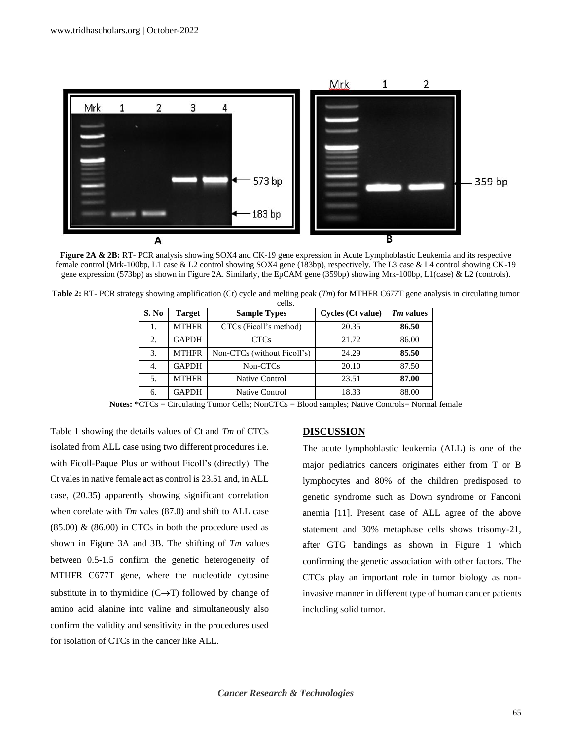

**Figure 2A & 2B:** RT- PCR analysis showing SOX4 and CK-19 gene expression in Acute Lymphoblastic Leukemia and its respective female control (Mrk-100bp, L1 case & L2 control showing SOX4 gene (183bp), respectively. The L3 case & L4 control showing CK-19 gene expression (573bp) as shown in Figure 2A. Similarly, the EpCAM gene (359bp) showing Mrk-100bp, L1(case) & L2 (controls).

| S. No | <b>Target</b> | <b>Sample Types</b>         | Cycles (Ct value) | Tm values |
|-------|---------------|-----------------------------|-------------------|-----------|
| 1.    | <b>MTHFR</b>  | CTCs (Ficoll's method)      | 20.35             | 86.50     |
| 2.    | <b>GAPDH</b>  | CTCs                        | 21.72             | 86.00     |
| 3.    | <b>MTHFR</b>  | Non-CTCs (without Ficoll's) | 24.29             | 85.50     |
| 4.    | <b>GAPDH</b>  | Non-CTCs                    | 20.10             | 87.50     |
| 5.    | <b>MTHFR</b>  | <b>Native Control</b>       | 23.51             | 87.00     |
| 6.    | <b>GAPDH</b>  | Native Control              | 18.33             | 88.00     |

**Table 2:** RT- PCR strategy showing amplification (Ct) cycle and melting peak (*Tm*) for MTHFR C677T gene analysis in circulating tumor cells.

**Notes: \***CTCs = Circulating Tumor Cells; NonCTCs = Blood samples; Native Controls= Normal female

Table 1 showing the details values of Ct and *Tm* of CTCs isolated from ALL case using two different procedures i.e. with Ficoll-Paque Plus or without Ficoll's (directly). The Ct vales in native female act as control is 23.51 and, in ALL case, (20.35) apparently showing significant correlation when corelate with *Tm* vales (87.0) and shift to ALL case  $(85.00)$  &  $(86.00)$  in CTCs in both the procedure used as shown in Figure 3A and 3B. The shifting of *Tm* values between 0.5-1.5 confirm the genetic heterogeneity of MTHFR C677T gene, where the nucleotide cytosine substitute in to thymidine  $(C \rightarrow T)$  followed by change of amino acid alanine into valine and simultaneously also confirm the validity and sensitivity in the procedures used for isolation of CTCs in the cancer like ALL.

# **DISCUSSION**

The acute lymphoblastic leukemia (ALL) is one of the major pediatrics cancers originates either from T or B lymphocytes and 80% of the children predisposed to genetic syndrome such as Down syndrome or Fanconi anemia [11]. Present case of ALL agree of the above statement and 30% metaphase cells shows trisomy-21, after GTG bandings as shown in Figure 1 which confirming the genetic association with other factors. The CTCs play an important role in tumor biology as noninvasive manner in different type of human cancer patients including solid tumor.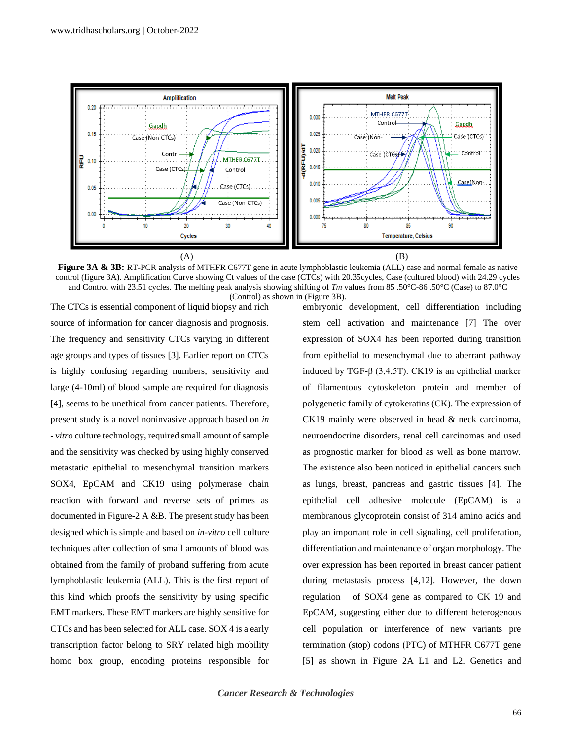

**Figure 3A & 3B:** RT-PCR analysis of MTHFR C677T gene in acute lymphoblastic leukemia (ALL) case and normal female as native control (figure 3A). Amplification Curve showing Ct values of the case (CTCs) with 20.35cycles, Case (cultured blood) with 24.29 cycles and Control with 23.51 cycles. The melting peak analysis showing shifting of *Tm* values from 85 .50°C-86 .50°C (Case) to 87.0°C (Control) as shown in (Figure 3B).

The CTCs is essential component of liquid biopsy and rich source of information for cancer diagnosis and prognosis. The frequency and sensitivity CTCs varying in different age groups and types of tissues [3]. Earlier report on CTCs is highly confusing regarding numbers, sensitivity and large (4-10ml) of blood sample are required for diagnosis [4], seems to be unethical from cancer patients. Therefore, present study is a novel noninvasive approach based on *in - vitro* culture technology, required small amount of sample and the sensitivity was checked by using highly conserved metastatic epithelial to mesenchymal transition markers SOX4, EpCAM and CK19 using polymerase chain reaction with forward and reverse sets of primes as documented in Figure-2 A &B. The present study has been designed which is simple and based on *in-vitro* cell culture techniques after collection of small amounts of blood was obtained from the family of proband suffering from acute lymphoblastic leukemia (ALL). This is the first report of this kind which proofs the sensitivity by using specific EMT markers. These EMT markers are highly sensitive for CTCs and has been selected for ALL case. SOX 4 is a early transcription factor belong to SRY related high mobility homo box group, encoding proteins responsible for embryonic development, cell differentiation including stem cell activation and maintenance [7] The over expression of SOX4 has been reported during transition from epithelial to mesenchymal due to aberrant pathway induced by TGF-β (3,4,5T). CK19 is an epithelial marker of filamentous cytoskeleton protein and member of polygenetic family of cytokeratins (CK). The expression of CK19 mainly were observed in head & neck carcinoma, neuroendocrine disorders, renal cell carcinomas and used as prognostic marker for blood as well as bone marrow. The existence also been noticed in epithelial cancers such as lungs, breast, pancreas and gastric tissues [4]. The epithelial cell adhesive molecule (EpCAM) is a membranous glycoprotein consist of 314 amino acids and play an important role in cell signaling, cell proliferation, differentiation and maintenance of organ morphology. The over expression has been reported in breast cancer patient during metastasis process [4,12]. However, the down regulation of SOX4 gene as compared to CK 19 and EpCAM, suggesting either due to different heterogenous cell population or interference of new variants pre termination (stop) codons (PTC) of MTHFR C677T gene [5] as shown in Figure 2A L1 and L2. Genetics and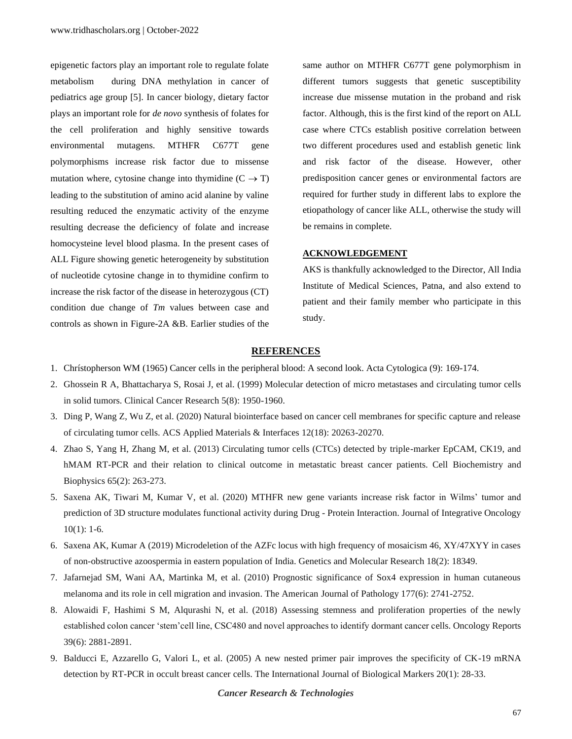epigenetic factors play an important role to regulate folate metabolism during DNA methylation in cancer of pediatrics age group [5]. In cancer biology, dietary factor plays an important role for *de novo* synthesis of folates for the cell proliferation and highly sensitive towards environmental mutagens. MTHFR C677T gene polymorphisms increase risk factor due to missense mutation where, cytosine change into thymidine  $(C \rightarrow T)$ leading to the substitution of amino acid alanine by valine resulting reduced the enzymatic activity of the enzyme resulting decrease the deficiency of folate and increase homocysteine level blood plasma. In the present cases of ALL Figure showing genetic heterogeneity by substitution of nucleotide cytosine change in to thymidine confirm to increase the risk factor of the disease in heterozygous (CT) condition due change of *Tm* values between case and controls as shown in Figure-2A &B. Earlier studies of the same author on MTHFR C677T gene polymorphism in different tumors suggests that genetic susceptibility increase due missense mutation in the proband and risk factor. Although, this is the first kind of the report on ALL case where CTCs establish positive correlation between two different procedures used and establish genetic link and risk factor of the disease. However, other predisposition cancer genes or environmental factors are required for further study in different labs to explore the etiopathology of cancer like ALL, otherwise the study will be remains in complete.

# **ACKNOWLEDGEMENT**

AKS is thankfully acknowledged to the Director, All India Institute of Medical Sciences, Patna, and also extend to patient and their family member who participate in this study.

#### **REFERENCES**

- 1. Chrístopherson WM (1965) Cancer cells in the peripheral blood: A second look. Acta Cytologica (9): 169-174.
- 2. [Ghossein R A, Bhattacharya S, Rosai J, et al. \(1999\) Molecular detection of micro metastases](https://pubmed.ncbi.nlm.nih.gov/10473071/) and circulating tumor cells [in solid tumors. Clinical Cancer Research 5\(8\): 1950-1960.](https://pubmed.ncbi.nlm.nih.gov/10473071/)
- 3. [Ding P, Wang Z, Wu Z, et al. \(2020\) Natural biointerface based on cancer cell membranes for specific capture and release](https://pubs.acs.org/doi/10.1021/acsami.0c03355)  [of circulating tumor cells. ACS Applied Materials & Interfaces 12\(18\): 20263-20270.](https://pubs.acs.org/doi/10.1021/acsami.0c03355)
- 4. [Zhao S, Yang H, Zhang M, et al. \(2013\) Circulating tumor cells \(CTCs\) detected by triple-marker EpCAM, CK19, and](https://pubmed.ncbi.nlm.nih.gov/22990361/)  [hMAM RT-PCR and their relation to clinical outcome in metastatic breast cancer patients. Cell Biochemistry and](https://pubmed.ncbi.nlm.nih.gov/22990361/)  [Biophysics 65\(2\): 263-273.](https://pubmed.ncbi.nlm.nih.gov/22990361/)
- 5. [Saxena AK, Tiwari M, Kumar V, et al. \(2020\) MTHFR new gene variants increase risk factor](https://www.researchgate.net/publication/349040261_MTHFR_New_Gene_Variants_Increase_Risk_Factor_in_Wilms%27_tumor_and_Prediction_of_3D_Structure_Modulates_Functional_Activity_During_Drug_-Protein_Interaction) in Wilms' tumor and prediction of [3D structure modulates functional activity during Drug -](https://www.researchgate.net/publication/349040261_MTHFR_New_Gene_Variants_Increase_Risk_Factor_in_Wilms%27_tumor_and_Prediction_of_3D_Structure_Modulates_Functional_Activity_During_Drug_-Protein_Interaction) Protein Interaction. Journal of Integrative Oncology [10\(1\): 1-6.](https://www.researchgate.net/publication/349040261_MTHFR_New_Gene_Variants_Increase_Risk_Factor_in_Wilms%27_tumor_and_Prediction_of_3D_Structure_Modulates_Functional_Activity_During_Drug_-Protein_Interaction)
- 6. Saxena AK, Kumar A [\(2019\) Microdeletion of the AZFc locus with high frequency of mosaicism 46, XY/47XYY in cases](https://www.geneticsmr.com/sites/default/files/articles/year2019/vol18-2/pdf/gmr18349_-_microdeletion-azfc-locus-high-frequency-mosaicism.pdf)  [of non-obstructive azoospermia in eastern population of India. Genetics and Molecular Research 18\(2\): 18349.](https://www.geneticsmr.com/sites/default/files/articles/year2019/vol18-2/pdf/gmr18349_-_microdeletion-azfc-locus-high-frequency-mosaicism.pdf)
- 7. [Jafarnejad SM, Wani AA, Martinka M, et al. \(2010\) Prognostic significance of Sox4 expression in human cutaneous](https://pubmed.ncbi.nlm.nih.gov/20952589/)  [melanoma and its role in cell migration and invasion. The American Journal of Pathology 177\(6\): 2741-2752.](https://pubmed.ncbi.nlm.nih.gov/20952589/)
- 8. [Alowaidi F, Hashimi S M, Alqurashi N, et al. \(2018\) Assessing stemness and proliferation properties of the newly](https://www.spandidos-publications.com/10.3892/or.2018.6392)  [established colon cancer 'stem'cell line, CSC480 and novel approaches to identify dormant cancer cells. Oncology Reports](https://www.spandidos-publications.com/10.3892/or.2018.6392)  [39\(6\): 2881-2891.](https://www.spandidos-publications.com/10.3892/or.2018.6392)
- 9. [Balducci E, Azzarello G, Valori L, et al. \(2005\) A new nested primer pair improves the specificity of CK-19 mRNA](https://pubmed.ncbi.nlm.nih.gov/15832770/)  [detection by RT-PCR in occult breast cancer cells. The International Journal of Biological Markers 20\(1\): 28-33.](https://pubmed.ncbi.nlm.nih.gov/15832770/)

*Cancer Research & Technologies*